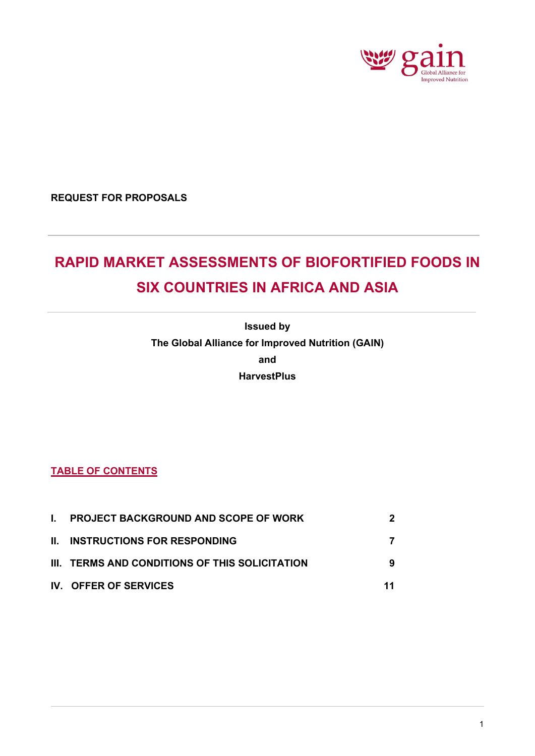

**REQUEST FOR PROPOSALS** 

# **RAPID MARKET ASSESSMENTS OF BIOFORTIFIED FOODS IN SIX COUNTRIES IN AFRICA AND ASIA**

**Issued by The Global Alliance for Improved Nutrition (GAIN) and HarvestPlus**

# **TABLE OF CONTENTS**

<span id="page-0-0"></span>

| I. PROJECT BACKGROUND AND SCOPE OF WORK        | 2  |
|------------------------------------------------|----|
| <b>II. INSTRUCTIONS FOR RESPONDING</b>         |    |
| III. TERMS AND CONDITIONS OF THIS SOLICITATION | 9  |
| IV. OFFER OF SERVICES                          | 11 |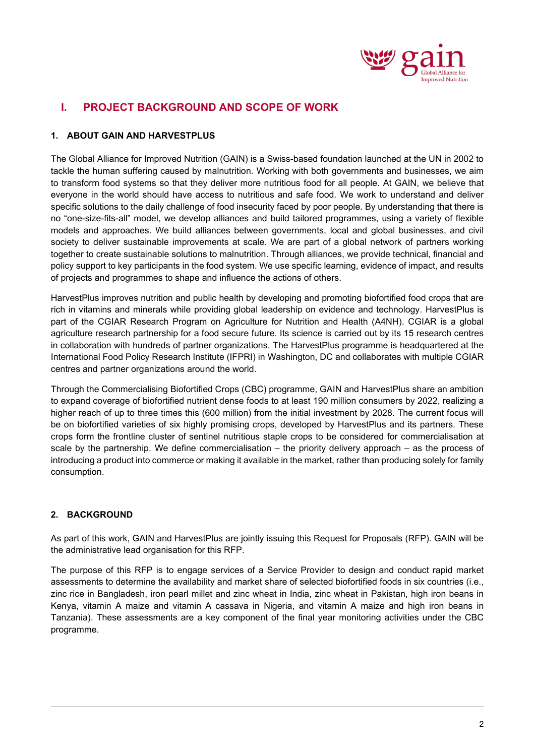

# **I. PROJECT BACKGROUND AND SCOPE OF WORK**

## **1. ABOUT GAIN AND HARVESTPLUS**

The Global Alliance for Improved Nutrition (GAIN) is a Swiss-based foundation launched at the UN in 2002 to tackle the human suffering caused by malnutrition. Working with both governments and businesses, we aim to transform food systems so that they deliver more nutritious food for all people. At GAIN, we believe that everyone in the world should have access to nutritious and safe food. We work to understand and deliver specific solutions to the daily challenge of food insecurity faced by poor people. By understanding that there is no "one-size-fits-all" model, we develop alliances and build tailored programmes, using a variety of flexible models and approaches. We build alliances between governments, local and global businesses, and civil society to deliver sustainable improvements at scale. We are part of a global network of partners working together to create sustainable solutions to malnutrition. Through alliances, we provide technical, financial and policy support to key participants in the food system. We use specific learning, evidence of impact, and results of projects and programmes to shape and influence the actions of others.

HarvestPlus improves nutrition and public health by developing and promoting biofortified food crops that are rich in vitamins and minerals while providing global leadership on evidence and technology. HarvestPlus is part of the CGIAR Research Program on Agriculture for Nutrition and Health (A4NH). CGIAR is a global agriculture research partnership for a food secure future. Its science is carried out by its 15 research centres in collaboration with hundreds of partner organizations. The HarvestPlus programme is headquartered at the International Food Policy Research Institute (IFPRI) in Washington, DC and collaborates with multiple CGIAR centres and partner organizations around the world.

Through the Commercialising Biofortified Crops (CBC) programme, GAIN and HarvestPlus share an ambition to expand coverage of biofortified nutrient dense foods to at least 190 million consumers by 2022, realizing a higher reach of up to three times this (600 million) from the initial investment by 2028. The current focus will be on biofortified varieties of six highly promising crops, developed by HarvestPlus and its partners. These crops form the frontline cluster of sentinel nutritious staple crops to be considered for commercialisation at scale by the partnership. We define commercialisation – the priority delivery approach – as the process of introducing a product into commerce or making it available in the market, rather than producing solely for family consumption.

## **2. BACKGROUND**

As part of this work, GAIN and HarvestPlus are jointly issuing this Request for Proposals (RFP). GAIN will be the administrative lead organisation for this RFP.

The purpose of this RFP is to engage services of a Service Provider to design and conduct rapid market assessments to determine the availability and market share of selected biofortified foods in six countries (i.e., zinc rice in Bangladesh, iron pearl millet and zinc wheat in India, zinc wheat in Pakistan, high iron beans in Kenya, vitamin A maize and vitamin A cassava in Nigeria, and vitamin A maize and high iron beans in Tanzania). These assessments are a key component of the final year monitoring activities under the CBC programme.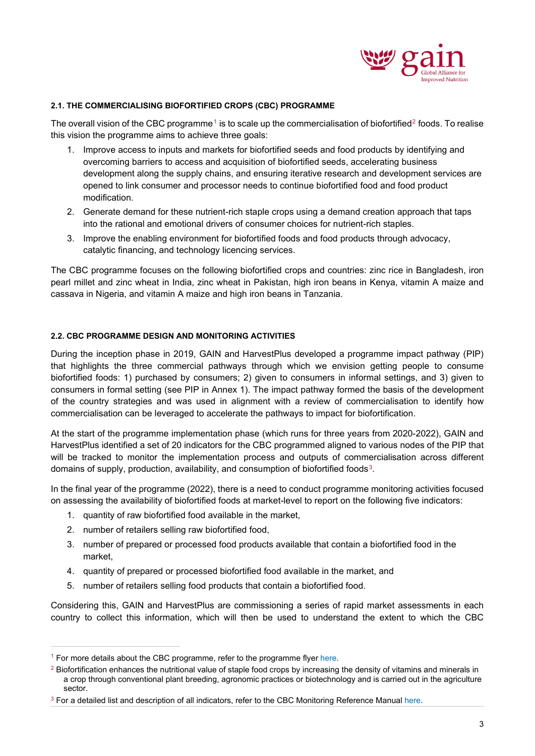

#### **2.1. THE COMMERCIALISING BIOFORTIFIED CROPS (CBC) PROGRAMME**

The overall vision of the CBC programme<sup>[1](#page-2-0)</sup> is to scale up the commercialisation of biofortified<sup>[2](#page-2-1)</sup> foods. To realise this vision the programme aims to achieve three goals:

- 1. Improve access to inputs and markets for biofortified seeds and food products by identifying and overcoming barriers to access and acquisition of biofortified seeds, accelerating business development along the supply chains, and ensuring iterative research and development services are opened to link consumer and processor needs to continue biofortified food and food product modification.
- 2. Generate demand for these nutrient-rich staple crops using a demand creation approach that taps into the rational and emotional drivers of consumer choices for nutrient-rich staples.
- 3. Improve the enabling environment for biofortified foods and food products through advocacy, catalytic financing, and technology licencing services.

The CBC programme focuses on the following biofortified crops and countries: zinc rice in Bangladesh, iron pearl millet and zinc wheat in India, zinc wheat in Pakistan, high iron beans in Kenya, vitamin A maize and cassava in Nigeria, and vitamin A maize and high iron beans in Tanzania.

#### **2.2. CBC PROGRAMME DESIGN AND MONITORING ACTIVITIES**

During the inception phase in 2019, GAIN and HarvestPlus developed a programme impact pathway (PIP) that highlights the three commercial pathways through which we envision getting people to consume biofortified foods: 1) purchased by consumers; 2) given to consumers in informal settings, and 3) given to consumers in formal setting (see PIP in Annex 1). The impact pathway formed the basis of the development of the country strategies and was used in alignment with a review of commercialisation to identify how commercialisation can be leveraged to accelerate the pathways to impact for biofortification.

At the start of the programme implementation phase (which runs for three years from 2020-2022), GAIN and HarvestPlus identified a set of 20 indicators for the CBC programmed aligned to various nodes of the PIP that will be tracked to monitor the implementation process and outputs of commercialisation across different domains of supply, production, availability, and consumption of biofortified foods[3](#page-2-2).

In the final year of the programme (2022), there is a need to conduct programme monitoring activities focused on assessing the availability of biofortified foods at market-level to report on the following five indicators:

- 1. quantity of raw biofortified food available in the market,
- 2. number of retailers selling raw biofortified food,
- 3. number of prepared or processed food products available that contain a biofortified food in the market,
- 4. quantity of prepared or processed biofortified food available in the market, and
- 5. number of retailers selling food products that contain a biofortified food.

Considering this, GAIN and HarvestPlus are commissioning a series of rapid market assessments in each country to collect this information, which will then be used to understand the extent to which the CBC

<span id="page-2-0"></span> $1$  For more details about the CBC programme, refer to the programme flye[r here.](https://www.gainhealth.org/sites/default/files/publications/documents/commercialisation-of-biofortified-crops-programme-flyer.pdf)

<span id="page-2-1"></span><sup>&</sup>lt;sup>2</sup> Biofortification enhances the nutritional value of staple food crops by increasing the density of vitamins and minerals in a crop through conventional plant breeding, agronomic practices or biotechnology and is carried out in the agriculture sector.

<span id="page-2-2"></span><sup>&</sup>lt;sup>3</sup> For a detailed list and description of all indicators, refer to the CBC Monitoring Reference Manual [here.](https://www.gainhealth.org/sites/default/files/publications/documents/the-commercialisation-of-biofortified-crops-programme-monitoring-reference-manual_0.pdf)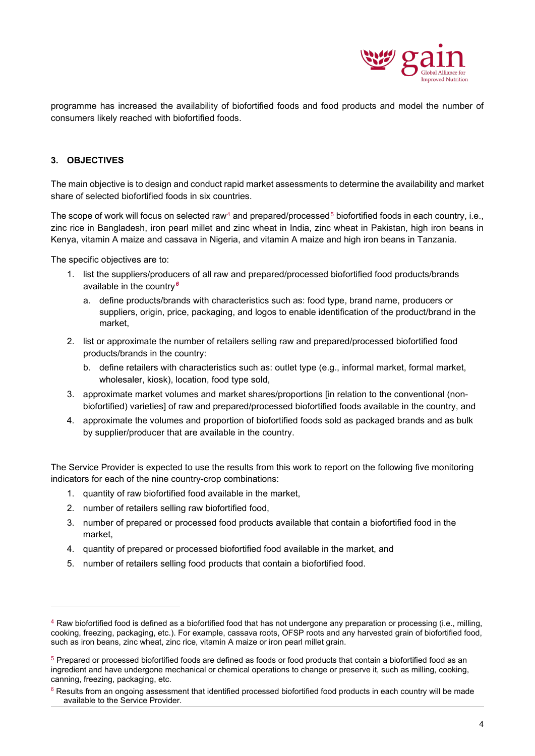

programme has increased the availability of biofortified foods and food products and model the number of consumers likely reached with biofortified foods.

## **3. OBJECTIVES**

The main objective is to design and conduct rapid market assessments to determine the availability and market share of selected biofortified foods in six countries.

The scope of work will focus on selected raw<sup>[4](#page-3-0)</sup> and prepared/processed<sup>[5](#page-3-1)</sup> biofortified foods in each country, i.e., zinc rice in Bangladesh, iron pearl millet and zinc wheat in India, zinc wheat in Pakistan, high iron beans in Kenya, vitamin A maize and cassava in Nigeria, and vitamin A maize and high iron beans in Tanzania.

The specific objectives are to:

- 1. list the suppliers/producers of all raw and prepared/processed biofortified food products/brands available in the country*[6](#page-3-2)*
	- a. define products/brands with characteristics such as: food type, brand name, producers or suppliers, origin, price, packaging, and logos to enable identification of the product/brand in the market,
- 2. list or approximate the number of retailers selling raw and prepared/processed biofortified food products/brands in the country:
	- b. define retailers with characteristics such as: outlet type (e.g., informal market, formal market, wholesaler, kiosk), location, food type sold,
- 3. approximate market volumes and market shares/proportions [in relation to the conventional (nonbiofortified) varieties] of raw and prepared/processed biofortified foods available in the country, and
- 4. approximate the volumes and proportion of biofortified foods sold as packaged brands and as bulk by supplier/producer that are available in the country.

The Service Provider is expected to use the results from this work to report on the following five monitoring indicators for each of the nine country-crop combinations:

- 1. quantity of raw biofortified food available in the market,
- 2. number of retailers selling raw biofortified food,
- 3. number of prepared or processed food products available that contain a biofortified food in the market,
- 4. quantity of prepared or processed biofortified food available in the market, and
- 5. number of retailers selling food products that contain a biofortified food.

<span id="page-3-0"></span><sup>4</sup> Raw biofortified food is defined as a biofortified food that has not undergone any preparation or processing (i.e., milling, cooking, freezing, packaging, etc.). For example, cassava roots, OFSP roots and any harvested grain of biofortified food, such as iron beans, zinc wheat, zinc rice, vitamin A maize or iron pearl millet grain.

<span id="page-3-1"></span><sup>&</sup>lt;sup>5</sup> Prepared or processed biofortified foods are defined as foods or food products that contain a biofortified food as an ingredient and have undergone mechanical or chemical operations to change or preserve it, such as milling, cooking, canning, freezing, packaging, etc.

<span id="page-3-2"></span> $6$  Results from an ongoing assessment that identified processed biofortified food products in each country will be made available to the Service Provider.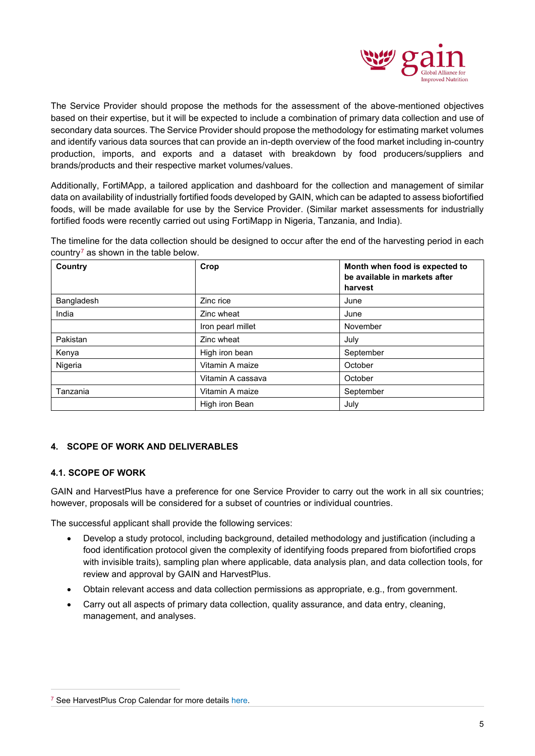

The Service Provider should propose the methods for the assessment of the above-mentioned objectives based on their expertise, but it will be expected to include a combination of primary data collection and use of secondary data sources. The Service Provider should propose the methodology for estimating market volumes and identify various data sources that can provide an in-depth overview of the food market including in-country production, imports, and exports and a dataset with breakdown by food producers/suppliers and brands/products and their respective market volumes/values.

Additionally, FortiMApp, a tailored application and dashboard for the collection and management of similar data on availability of industrially fortified foods developed by GAIN, which can be adapted to assess biofortified foods, will be made available for use by the Service Provider. (Similar market assessments for industrially fortified foods were recently carried out using FortiMapp in Nigeria, Tanzania, and India).

The timeline for the data collection should be designed to occur after the end of the harvesting period in each country<sup> $7$ </sup> as shown in the table below.

| Country    | Crop              | Month when food is expected to<br>be available in markets after |
|------------|-------------------|-----------------------------------------------------------------|
|            |                   | harvest                                                         |
| Bangladesh | Zinc rice         | June                                                            |
| India      | Zinc wheat        | June                                                            |
|            | Iron pearl millet | November                                                        |
| Pakistan   | Zinc wheat        | July                                                            |
| Kenya      | High iron bean    | September                                                       |
| Nigeria    | Vitamin A maize   | October                                                         |
|            | Vitamin A cassava | October                                                         |
| Tanzania   | Vitamin A maize   | September                                                       |
|            | High iron Bean    | July                                                            |

#### **4. SCOPE OF WORK AND DELIVERABLES**

#### **4.1. SCOPE OF WORK**

GAIN and HarvestPlus have a preference for one Service Provider to carry out the work in all six countries; however, proposals will be considered for a subset of countries or individual countries.

The successful applicant shall provide the following services:

- Develop a study protocol, including background, detailed methodology and justification (including a food identification protocol given the complexity of identifying foods prepared from biofortified crops with invisible traits), sampling plan where applicable, data analysis plan, and data collection tools, for review and approval by GAIN and HarvestPlus.
- Obtain relevant access and data collection permissions as appropriate, e.g., from government.
- Carry out all aspects of primary data collection, quality assurance, and data entry, cleaning, management, and analyses.

<span id="page-4-0"></span><sup>&</sup>lt;sup>7</sup> See HarvestPlus Crop Calendar for more detail[s here.](https://www.harvestplus.org/content/harvestplus-crop-calendar)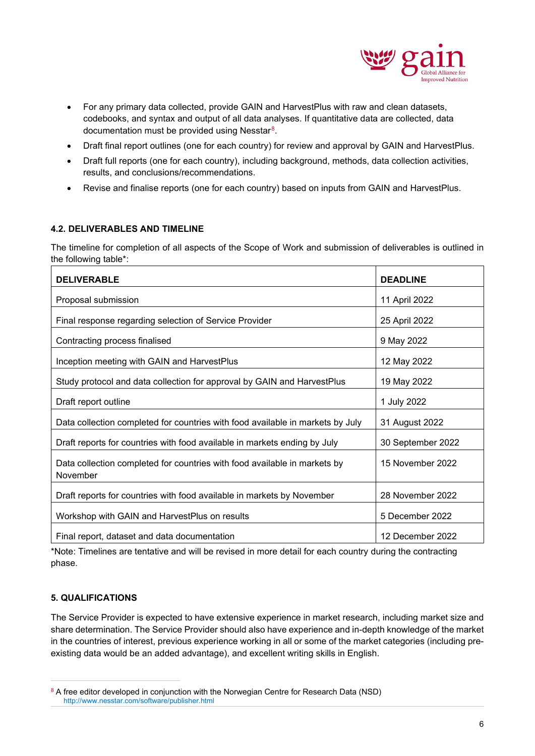

- For any primary data collected, provide GAIN and HarvestPlus with raw and clean datasets, codebooks, and syntax and output of all data analyses. If quantitative data are collected, data documentation must be provided using Nesstar[8.](#page-5-0)
- Draft final report outlines (one for each country) for review and approval by GAIN and HarvestPlus.
- Draft full reports (one for each country), including background, methods, data collection activities, results, and conclusions/recommendations.
- Revise and finalise reports (one for each country) based on inputs from GAIN and HarvestPlus.

#### **4.2. DELIVERABLES AND TIMELINE**

The timeline for completion of all aspects of the Scope of Work and submission of deliverables is outlined in the following table\*:

| <b>DELIVERABLE</b>                                                                    | <b>DEADLINE</b>   |
|---------------------------------------------------------------------------------------|-------------------|
| Proposal submission                                                                   | 11 April 2022     |
| Final response regarding selection of Service Provider                                | 25 April 2022     |
| Contracting process finalised                                                         | 9 May 2022        |
| Inception meeting with GAIN and HarvestPlus                                           | 12 May 2022       |
| Study protocol and data collection for approval by GAIN and HarvestPlus               | 19 May 2022       |
| Draft report outline                                                                  | 1 July 2022       |
| Data collection completed for countries with food available in markets by July        | 31 August 2022    |
| Draft reports for countries with food available in markets ending by July             | 30 September 2022 |
| Data collection completed for countries with food available in markets by<br>November | 15 November 2022  |
| Draft reports for countries with food available in markets by November                | 28 November 2022  |
| Workshop with GAIN and HarvestPlus on results                                         | 5 December 2022   |
| Final report, dataset and data documentation                                          | 12 December 2022  |

\*Note: Timelines are tentative and will be revised in more detail for each country during the contracting phase.

#### **5. QUALIFICATIONS**

The Service Provider is expected to have extensive experience in market research, including market size and share determination. The Service Provider should also have experience and in-depth knowledge of the market in the countries of interest, previous experience working in all or some of the market categories (including preexisting data would be an added advantage), and excellent writing skills in English.

<span id="page-5-0"></span><sup>&</sup>lt;sup>8</sup> A free editor developed in conjunction with the Norwegian Centre for Research Data (NSD) <http://www.nesstar.com/software/publisher.html>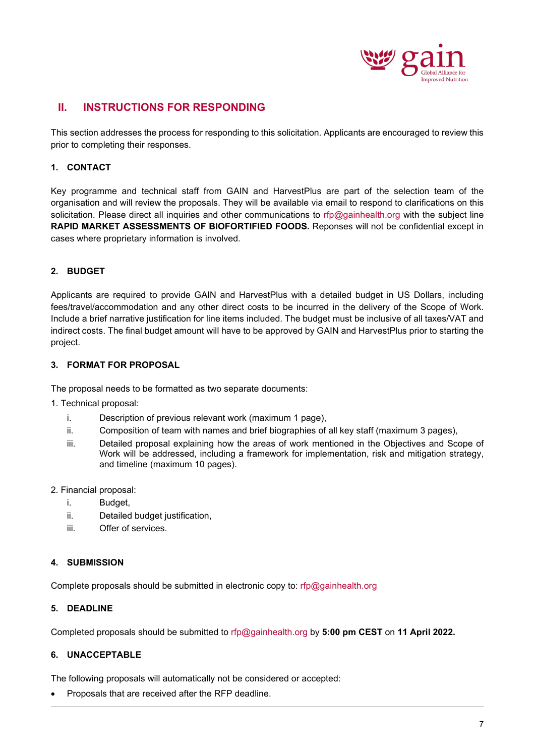

## <span id="page-6-0"></span>**II. INSTRUCTIONS FOR RESPONDING**

This section addresses the process for responding to this solicitation. Applicants are encouraged to review this prior to completing their responses.

### **1. CONTACT**

Key programme and technical staff from GAIN and HarvestPlus are part of the selection team of the organisation and will review the proposals. They will be available via email to respond to clarifications on this solicitation. Please direct all inquiries and other communications to [rfp@gainhealth.org](mailto:rfp@gainhealth.org) with the subject line **RAPID MARKET ASSESSMENTS OF BIOFORTIFIED FOODS.** Reponses will not be confidential except in cases where proprietary information is involved.

#### **2. BUDGET**

Applicants are required to provide GAIN and HarvestPlus with a detailed budget in US Dollars, including fees/travel/accommodation and any other direct costs to be incurred in the delivery of the Scope of Work. Include a brief narrative justification for line items included. The budget must be inclusive of all taxes/VAT and indirect costs. The final budget amount will have to be approved by GAIN and HarvestPlus prior to starting the project.

#### **3. FORMAT FOR PROPOSAL**

The proposal needs to be formatted as two separate documents:

- 1. Technical proposal:
	- i. Description of previous relevant work (maximum 1 page),
	- ii. Composition of team with names and brief biographies of all key staff (maximum 3 pages),
	- iii. Detailed proposal explaining how the areas of work mentioned in the Objectives and Scope of Work will be addressed, including a framework for implementation, risk and mitigation strategy, and timeline (maximum 10 pages).

#### 2. Financial proposal:

- i. Budget,
- ii. Detailed budget justification,
- iii. Offer of services.

#### **4. SUBMISSION**

Complete proposals should be submitted in electronic copy to: [rfp@gainhealth.org](mailto:rfp@gainhealth.org) 

## **5. DEADLINE**

Completed proposals should be submitted to [rfp@gainhealth.org](mailto:rfp@gainhealth.org) by **5:00 pm CEST** on **11 April 2022.** 

#### **6. UNACCEPTABLE**

The following proposals will automatically not be considered or accepted:

• Proposals that are received after the RFP deadline.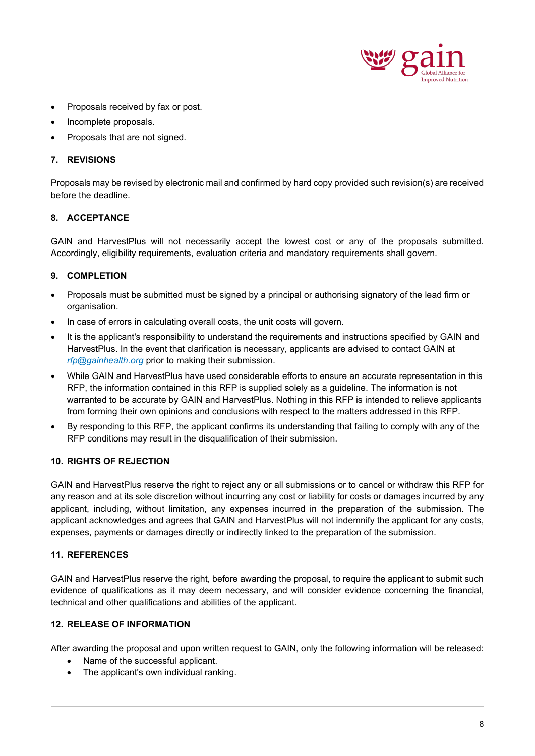

- Proposals received by fax or post.
- Incomplete proposals.
- Proposals that are not signed.

#### **7. REVISIONS**

Proposals may be revised by electronic mail and confirmed by hard copy provided such revision(s) are received before the deadline.

#### **8. ACCEPTANCE**

GAIN and HarvestPlus will not necessarily accept the lowest cost or any of the proposals submitted. Accordingly, eligibility requirements, evaluation criteria and mandatory requirements shall govern.

## **9. COMPLETION**

- Proposals must be submitted must be signed by a principal or authorising signatory of the lead firm or organisation.
- In case of errors in calculating overall costs, the unit costs will govern.
- It is the applicant's responsibility to understand the requirements and instructions specified by GAIN and HarvestPlus. In the event that clarification is necessary, applicants are advised to contact GAIN at *[rfp@gainhealth.org](mailto:rfp@gainhealth.org)* prior to making their submission.
- While GAIN and HarvestPlus have used considerable efforts to ensure an accurate representation in this RFP, the information contained in this RFP is supplied solely as a guideline. The information is not warranted to be accurate by GAIN and HarvestPlus. Nothing in this RFP is intended to relieve applicants from forming their own opinions and conclusions with respect to the matters addressed in this RFP.
- By responding to this RFP, the applicant confirms its understanding that failing to comply with any of the RFP conditions may result in the disqualification of their submission.

#### **10. RIGHTS OF REJECTION**

GAIN and HarvestPlus reserve the right to reject any or all submissions or to cancel or withdraw this RFP for any reason and at its sole discretion without incurring any cost or liability for costs or damages incurred by any applicant, including, without limitation, any expenses incurred in the preparation of the submission. The applicant acknowledges and agrees that GAIN and HarvestPlus will not indemnify the applicant for any costs, expenses, payments or damages directly or indirectly linked to the preparation of the submission.

#### **11. REFERENCES**

GAIN and HarvestPlus reserve the right, before awarding the proposal, to require the applicant to submit such evidence of qualifications as it may deem necessary, and will consider evidence concerning the financial, technical and other qualifications and abilities of the applicant.

## **12. RELEASE OF INFORMATION**

After awarding the proposal and upon written request to GAIN, only the following information will be released:

- Name of the successful applicant.
- The applicant's own individual ranking.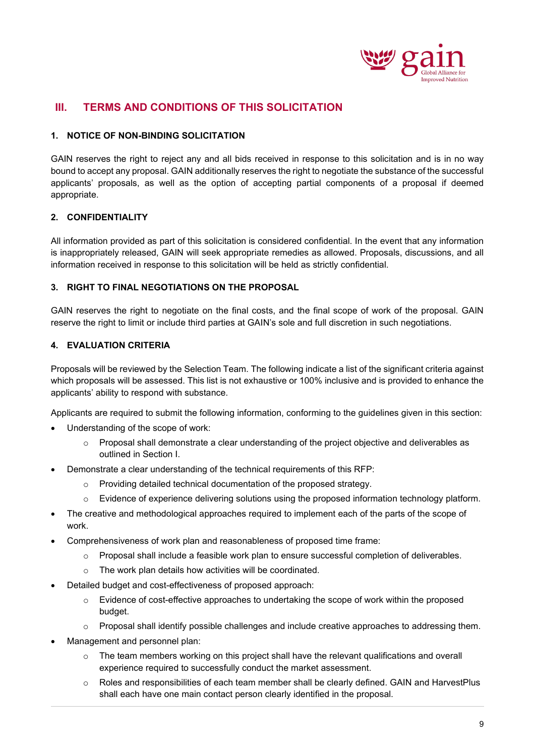

# <span id="page-8-0"></span>**III. TERMS AND CONDITIONS OF THIS SOLICITATION**

#### **1. NOTICE OF NON-BINDING SOLICITATION**

GAIN reserves the right to reject any and all bids received in response to this solicitation and is in no way bound to accept any proposal. GAIN additionally reserves the right to negotiate the substance of the successful applicants' proposals, as well as the option of accepting partial components of a proposal if deemed appropriate.

#### **2. CONFIDENTIALITY**

All information provided as part of this solicitation is considered confidential. In the event that any information is inappropriately released, GAIN will seek appropriate remedies as allowed. Proposals, discussions, and all information received in response to this solicitation will be held as strictly confidential.

#### **3. RIGHT TO FINAL NEGOTIATIONS ON THE PROPOSAL**

GAIN reserves the right to negotiate on the final costs, and the final scope of work of the proposal. GAIN reserve the right to limit or include third parties at GAIN's sole and full discretion in such negotiations.

#### **4. EVALUATION CRITERIA**

Proposals will be reviewed by the Selection Team. The following indicate a list of the significant criteria against which proposals will be assessed. This list is not exhaustive or 100% inclusive and is provided to enhance the applicants' ability to respond with substance.

Applicants are required to submit the following information, conforming to the guidelines given in this section:

- Understanding of the scope of work:
	- $\circ$  Proposal shall demonstrate a clear understanding of the project objective and deliverables as outlined in Section I.
- Demonstrate a clear understanding of the technical requirements of this RFP:
	- o Providing detailed technical documentation of the proposed strategy.
	- o Evidence of experience delivering solutions using the proposed information technology platform.
- The creative and methodological approaches required to implement each of the parts of the scope of work.
- Comprehensiveness of work plan and reasonableness of proposed time frame:
	- $\circ$  Proposal shall include a feasible work plan to ensure successful completion of deliverables.
	- o The work plan details how activities will be coordinated.
- Detailed budget and cost-effectiveness of proposed approach:
	- $\circ$  Evidence of cost-effective approaches to undertaking the scope of work within the proposed budget.
	- $\circ$  Proposal shall identify possible challenges and include creative approaches to addressing them.
- Management and personnel plan:
	- $\circ$  The team members working on this project shall have the relevant qualifications and overall experience required to successfully conduct the market assessment.
	- o Roles and responsibilities of each team member shall be clearly defined. GAIN and HarvestPlus shall each have one main contact person clearly identified in the proposal.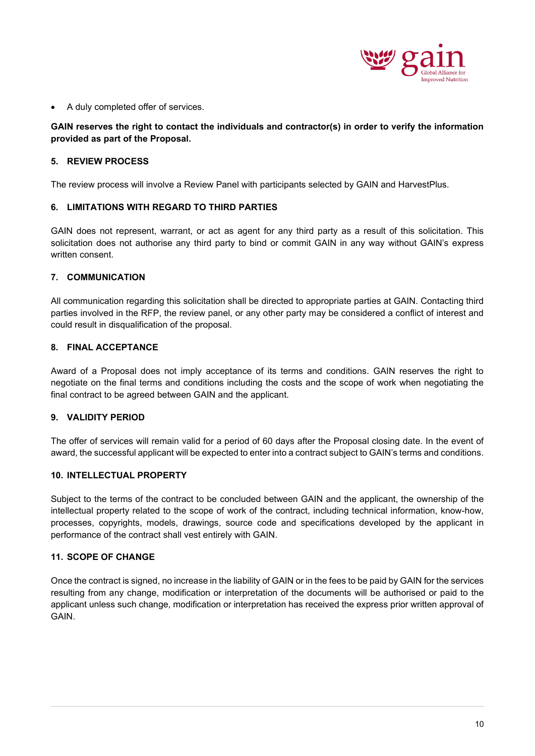

• A duly completed offer of services.

#### **GAIN reserves the right to contact the individuals and contractor(s) in order to verify the information provided as part of the Proposal.**

#### **5. REVIEW PROCESS**

The review process will involve a Review Panel with participants selected by GAIN and HarvestPlus.

#### **6. LIMITATIONS WITH REGARD TO THIRD PARTIES**

GAIN does not represent, warrant, or act as agent for any third party as a result of this solicitation. This solicitation does not authorise any third party to bind or commit GAIN in any way without GAIN's express written consent.

#### **7. COMMUNICATION**

All communication regarding this solicitation shall be directed to appropriate parties at GAIN. Contacting third parties involved in the RFP, the review panel, or any other party may be considered a conflict of interest and could result in disqualification of the proposal.

#### **8. FINAL ACCEPTANCE**

Award of a Proposal does not imply acceptance of its terms and conditions. GAIN reserves the right to negotiate on the final terms and conditions including the costs and the scope of work when negotiating the final contract to be agreed between GAIN and the applicant.

#### **9. VALIDITY PERIOD**

The offer of services will remain valid for a period of 60 days after the Proposal closing date. In the event of award, the successful applicant will be expected to enter into a contract subject to GAIN's terms and conditions.

#### **10. INTELLECTUAL PROPERTY**

Subject to the terms of the contract to be concluded between GAIN and the applicant, the ownership of the intellectual property related to the scope of work of the contract, including technical information, know-how, processes, copyrights, models, drawings, source code and specifications developed by the applicant in performance of the contract shall vest entirely with GAIN.

#### **11. SCOPE OF CHANGE**

Once the contract is signed, no increase in the liability of GAIN or in the fees to be paid by GAIN for the services resulting from any change, modification or interpretation of the documents will be authorised or paid to the applicant unless such change, modification or interpretation has received the express prior written approval of **GAIN**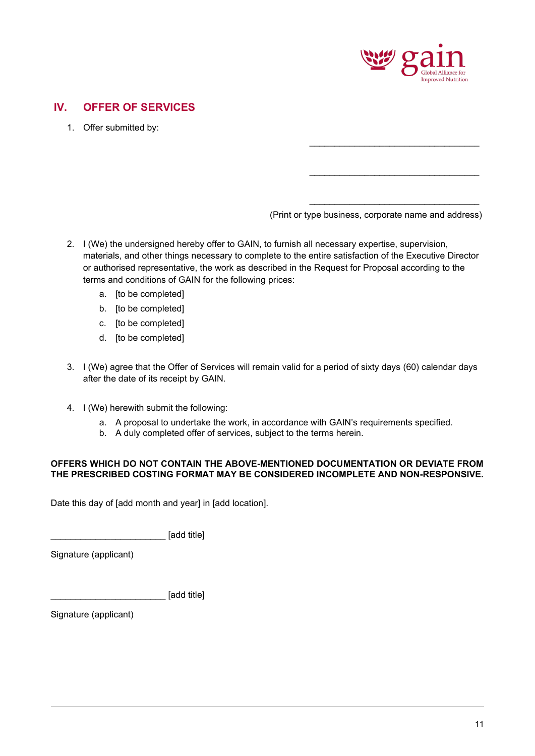

# <span id="page-10-0"></span>**IV. OFFER OF SERVICES**

1. Offer submitted by:

(Print or type business, corporate name and address)

\_\_\_\_\_\_\_\_\_\_\_\_\_\_\_\_\_\_\_\_\_\_\_\_\_\_\_\_\_\_\_\_\_\_

\_\_\_\_\_\_\_\_\_\_\_\_\_\_\_\_\_\_\_\_\_\_\_\_\_\_\_\_\_\_\_\_\_\_

\_\_\_\_\_\_\_\_\_\_\_\_\_\_\_\_\_\_\_\_\_\_\_\_\_\_\_\_\_\_\_\_\_\_

- 2. I (We) the undersigned hereby offer to GAIN, to furnish all necessary expertise, supervision, materials, and other things necessary to complete to the entire satisfaction of the Executive Director or authorised representative, the work as described in the Request for Proposal according to the terms and conditions of GAIN for the following prices:
	- a. [to be completed]
	- b. [to be completed]
	- c. [to be completed]
	- d. [to be completed]
- 3. I (We) agree that the Offer of Services will remain valid for a period of sixty days (60) calendar days after the date of its receipt by GAIN.
- 4. I (We) herewith submit the following:
	- a. A proposal to undertake the work, in accordance with GAIN's requirements specified.
	- b. A duly completed offer of services, subject to the terms herein.

#### **OFFERS WHICH DO NOT CONTAIN THE ABOVE-MENTIONED DOCUMENTATION OR DEVIATE FROM THE PRESCRIBED COSTING FORMAT MAY BE CONSIDERED INCOMPLETE AND NON-RESPONSIVE.**

Date this day of [add month and year] in [add location].

\_\_\_\_\_\_\_\_\_\_\_\_\_\_\_\_\_\_\_\_\_\_\_ [add title]

Signature (applicant)

\_\_\_\_\_\_\_\_\_\_\_\_\_\_\_\_\_\_\_\_\_\_\_ [add title]

Signature (applicant)